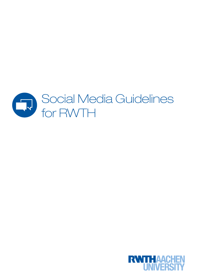

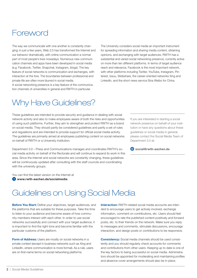### Foreword

The way we communicate with one another is constantly changing; in just a few years, Web 2.0 has transformed the Internet and our behavior dramatically, with online communication a normal part of most people's lives nowadays. Numerous new communication channels and apps have been developed in social media (e.g. Facebook, Twitter, Snapchat, Instagram, blogs). The key feature of social networks is communication and exchanges, with interaction at the fore. The boundaries between professional and private life are often more blurred in social media.

A social networking presence is a key feature of the communication channels of universities in general and RWTH in particular.

The University considers social media an important instrument for spreading information and sharing media content, obtaining opinions, and exchanging with target audiences. RWTH has a substantial and varied social networking presence, currently active on more than ten different platforms. In terms of target audience reach and relevance, Facebook is the most important network, with other platforms including Twitter, YouTube, Instagram, Pinterest, Issuu, Slideshare, the career-oriented networks Xing and LinkedIn, and the short news service Sina Weibo for China.

## Why Have Guidelines?

These guidelines are intended to provide security and guidance in dealing with social network activity and also to make employees aware of both the risks and opportunities of using such platforms. Further, they aim to strengthen and protect RWTH as a brand on social media. They should partly be considered guidelines and partly a set of rules and regulations and are intended to provide support for official social media activity. The guidelines are primarily aimed at employees publishing content on social networks on behalf of RWTH or a University institution.

Department 3.0 – Press and Communications manages and coordinates RWTH's social media activity on behalf of the Rectorate and will continue to expand its work in this area. Since the Internet and social networks are constantly changing, these guidelines will be continuously updated after consulting with the staff councils and coordinating with the university groups.

If you are interested in starting a social network presence on behalf of your institution or have any questions about these guidelines or social media in general, please contact the Social Media Team of Department 3.0 at:

social@rwth-aachen.de

You can find the latest version on the Internet at  [www.rwth-aachen.de/socialmedia](https://www.rwth-aachen.de/cms/root/Die-RWTH/Profil/~cfoj/Social-Media/?lidx=1)

### Guidelines on Using Social Media

**Before You Start:** Define your objectives, target audiences, and the platforms that are suitable for these purposes. Take the time to listen to your audience and become aware of how community members interact with each other. In order to use social networks successfully and connect with your target audience, it is important to find the right tone and become familiar with the particular customs of the platform.

Form of Address: Users are mostly on social networks in a private context (except in business networks such as Xing and LinkedIn, where communication is more formal). As a rule, users are on first-name terms on social networking platforms.

Interaction: RWTH-related social media accounts are intended to encourage users to get actively involved, exchange information, comment on contributions, etc. Users should feel encouraged to rate the published content positively and forward posts, etc. to their friends on the network. Make sure you reply to messages and comments, stimulate discussions, encourage interaction, and design posts or contributions to be responsive.

Consistency: Social media channels should be used consistently and you should regularly check accounts for comments and contributions from other users. Keeping up to date is one of the key factors to being successful on social media. Administrators should be appointed for moderating and maintaining profiles and absence cover arrangements should also be in place.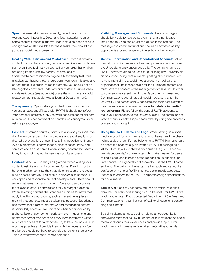Speed: Answer all inquiries promptly, i.e. within 24 hours on working days, if possible. Direct and fast interaction is an essential feature of these platforms. If an institution does not have enough time or staff available for these tasks, they should not pursue a social media presence.

Dealing With Criticism and Mistakes: If users criticize any content that you have posted, respond objectively and with reason, even if you feel that you yourself or your organizational unit are being treated unfairly, harshly, or emotionally. Social media communication is generally extremely fast, thus mistakes can happen. You should admit your own mistakes and correct them; it is crucial to react promptly. You should not delete negative comments under any circumstances, unless they violate netiquette (see appendix) or are illegal. In case of doubt, please contact the Social Media Team of Department 3.0.

**Transparency:** Openly state your identity and your function. If you use an account affiliated with RWTH, it should not reflect your personal interests. Only use work accounts for official communication. Do not comment on contributions anonymously or using a pseudonym.

Respect: Common courtesy principles also apply to social media. Always be respectful toward others and avoid any form of discredit, provocation, or even insult. Stay objective yet friendly. Avoid stereotypes, enemy images, discrimination, irony, and sarcasm and also be careful when sharing content that seems funny to you but may not be seen as such by all users.

**Content:** Mind your spelling and grammar when writing your content, just like you do for other text forms. Planning contributions in advance helps the strategic orientation of the social media account activity. You should, however, also keep your ears open and respond to current developments. Users should always get value from your content. You should also consider the relevance of your contributions for your target audience. When selecting content, the standard principles for news that apply to editorial publications, such as recent news pieces, proximity, scope, etc., must be taken into account. Experience has shown that a mix of informative and entertaining content, is particularly effective, even more so when accompanied by a photo. Take all user content seriously, even if questions and comments sometimes seem as if they were formulated without much care or desire for a response. Try to help the individual as much as possible and provide them with the necessary information so they do not have to actively search for it themselves – this is exactly what social media demands.

Visibility, Messages, and Comments: Facebook pages should be visible for everyone, even if they are not logged into Facebook. You can adjust this option in the settings. The message and comment functions should be activated as key opportunities for exchange and interaction in the network.

Central Coordination and Decentralized Accounts: All organizational units can set up their own pages and accounts and the University greatly encourages this. The central channels of RWTH, however, are to be used for publishing key University decisions, announcing central events, posting about awards, etc. Anyone maintaining a social media account on behalf of an organizational unit is responsible for the published content and must have the consent of the management of said unit. In order to coherently represent RWTH, the Department of Press and Communications coordinates all social media activity for the University. The names of new accounts and their administrators must be registered at [www.rwth-aachen.de/socialmedia/](https://formular.zhv.rwth-aachen.de/shibboleth-ds/index.html?entityID=https%3A%2F%2Fformular.zhv.rwth-aachen.de%2Fshibboleth&return=https%3A%2F%2Fformular.zhv.rwth-aachen.de%2FShibboleth.sso%2FLogin%3FSAMLDS%3D1%26target%3Dhttps%253A%252F%252Fformular.zhv.rwth-aachen.de%252Flip%252Faction%252Finvoke.do%253Fid%253Dsmedia) [registrierung](https://formular.zhv.rwth-aachen.de/shibboleth-ds/index.html?entityID=https%3A%2F%2Fformular.zhv.rwth-aachen.de%2Fshibboleth&return=https%3A%2F%2Fformular.zhv.rwth-aachen.de%2FShibboleth.sso%2FLogin%3FSAMLDS%3D1%26target%3Dhttps%253A%252F%252Fformular.zhv.rwth-aachen.de%252Flip%252Faction%252Finvoke.do%253Fid%253Dsmedia). Please follow the central RWTH accounts to make your connection to the University clear. The central and related accounts ideally support each other by citing one another's content and sharing it.

Using the RWTH Name and Logo: When setting up a social media account for an organizational unit, the name of the channel must clearly identify it as belonging to RWTH. Names should be short and snappy, e.g. on Twitter: @RWTHteachingblog or @RWTHFaculty4. So-called vanity domains, e.g. on Facebook: www.facebook.de/rwth.elektrotechnik, make it easier for users to find a page and increase brand recognition. In principle, private channels are generally not allowed to use the RWTH name and logo. The unit must be recognized as such and cannot be confused with one of RWTH's central social media accounts. Please also adhere to the RWTH corporate design specifications for social media.

Talk to Us! If one of your posts requires an official response from the University or if sharing it could be useful for RWTH, we would appreciate it if you contacted Department 3.0 – Press and Communications – your first port of call for all questions concerning social media.

Social media meetings are being held as an opportunity for employees representing RWTH or one of its institutions on social media to discuss their experiences and provide input. If you would like to join, please register at social@rwth-aachen.de.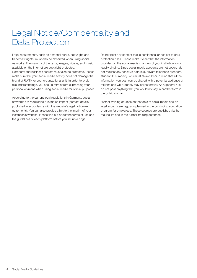# Legal Notice/Confidentiality and Data Protection

Legal requirements, such as personal rights, copyright, and trademark rights, must also be observed when using social networks. The majority of the texts, images, videos, and music available on the Internet are copyright-protected. Company and business secrets must also be protected. Please make sure that your social media activity does not damage the brand of RWTH or your organizational unit. In order to avoid misunderstandings, you should refrain from expressing your personal opinions when using social media for official purposes.

According to the current legal regulations in Germany, social networks are required to provide an imprint (contact details published in accordance with the website's legal notice requirements). You can also provide a link to the imprint of your institution's website. Please find out about the terms of use and the guidelines of each platform before you set up a page.

Do not post any content that is confidential or subject to data protection rules. Please make it clear that the information provided on the social media channels of your institution is not legally binding. Since social media accounts are not secure, do not request any sensitive data (e.g. private telephone numbers, student ID numbers). You must always bear in mind that all the information you post can be shared with a potential audience of millions and will probably stay online forever. As a general rule: do not post anything that you would not say in another form in the public domain.

Further training courses on the topic of social media and on legal aspects are regularly planned in the continuing education program for employees. These courses are published via the mailing list and in the further training database.